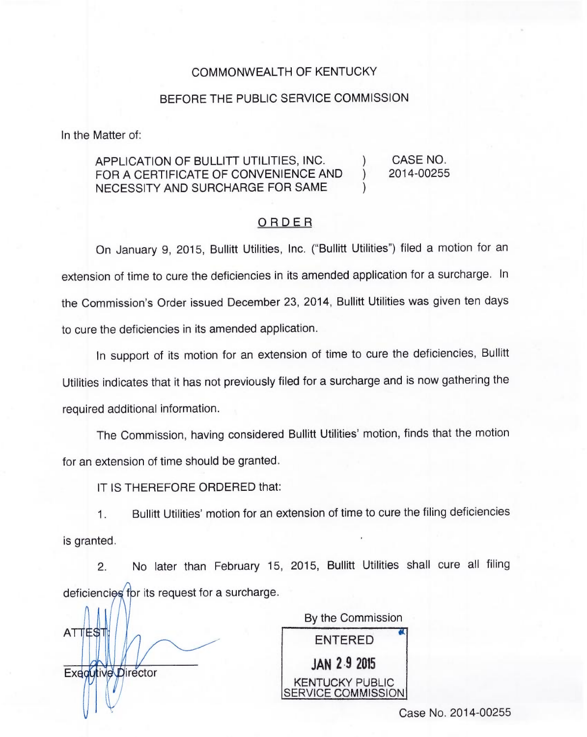## COMMONWEALTH OF KENTUCKY

## BEFORE THE PUBLIC SERVICE COMMISSION

In the Matter of:

## APPLICATION OF BULLITT UTILITIES, INC. ) CASE NO. FOR A CERTIFICATE OF CONVENIENCE AND NECESSITY AND SURCHARGE FOR SAME )

## ORDER

2014-00255

On January 9, 2015, Bullitt Utilities, Inc. ("Bullitt Utilities") filed a motion for ar extension of time to cure the deficiencies in its amended application for a surcharge. In the Commission's Order issued December 23, 2014, Bullitt Utilities was given ten days to cure the deficiencies in its amended application.

In support of its motion for an extension of time to cure the deficiencies, Bullitt Utilities indicates that it has not previously filed for a surcharge and is now gathering the required additional information.

The Commission, having considered Bullitt Utilities' motion, finds that the motion for an extension of time should be granted.

IT IS THEREFORE ORDERED that:

Bullitt Utilities' motion for an extension of time to cure the filing deficiencies  $\mathbf{1}$ . is granted.

No later than February 15, 2015, Bullitt Utilities shall cure all filing  $2.$ deficiencies for its request for a surcharge

**ATTEST** Executive Director

By the Commission ENTERED **JAN 2-9 2015** KENTUCKY PUBLIC SERVICE COMMISSION

Case No. 2014-00255